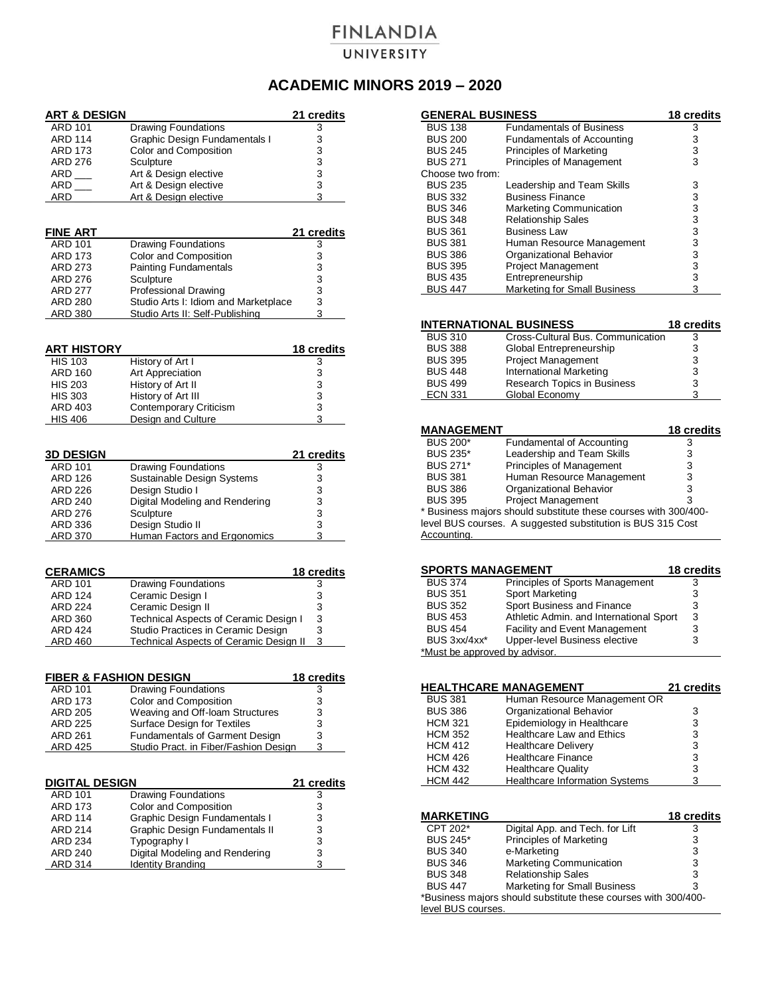## **FINLANDIA** UNIVERSITY

## **ACADEMIC MINORS 2019 – 2020**

| <b>ART &amp; DESIGN</b>           |                                               | 21 credits         |
|-----------------------------------|-----------------------------------------------|--------------------|
| <b>ARD 101</b>                    | <b>Drawing Foundations</b>                    | 3                  |
| ARD 114                           | Graphic Design Fundamentals I                 | 3                  |
| ARD 173                           | Color and Composition                         | 3                  |
| ARD 276                           | Sculpture                                     | 3                  |
| $ARD$ ____                        | Art & Design elective                         | 3                  |
| ARD                               | Art & Design elective                         | 3                  |
| ARD                               | Art & Design elective                         | 3                  |
|                                   |                                               |                    |
| <b>FINE ART</b>                   |                                               | <u>21 credits</u>  |
| <b>ARD 101</b>                    | <b>Drawing Foundations</b>                    | 3                  |
| ARD 173                           | Color and Composition                         | 3                  |
| ARD 273                           | <b>Painting Fundamentals</b>                  | 3                  |
| ARD 276                           | Sculpture                                     | 3                  |
| <b>ARD 277</b>                    | <b>Professional Drawing</b>                   | 3                  |
| ARD 280                           | Studio Arts I: Idiom and Marketplace          | 3                  |
| ARD 380                           | Studio Arts II: Self-Publishing               | 3                  |
|                                   |                                               |                    |
| ART HISTORY                       |                                               | <u> 18 credits</u> |
| <b>HIS 103</b>                    | History of Art I                              | 3                  |
| ARD 160                           | Art Appreciation                              |                    |
| <b>HIS 203</b>                    | History of Art II                             | 3<br>3             |
| <b>HIS 303</b>                    | History of Art III                            | 3                  |
| ARD 403                           | <b>Contemporary Criticism</b>                 | 3                  |
| <b>HIS 406</b>                    | <b>Design and Culture</b>                     | 3                  |
|                                   |                                               |                    |
| <b>3D DESIGN</b>                  |                                               | 21 credits         |
| ARD 101                           | <b>Drawing Foundations</b>                    | 3                  |
| ARD 126                           | Sustainable Design Systems                    | 3                  |
| ARD 226                           | Design Studio I                               | 3                  |
| ARD 240                           | Digital Modeling and Rendering                | 3                  |
| ARD 276                           | Sculpture                                     | 3                  |
| ARD 336                           | Design Studio II                              | 3                  |
| <u>ARD 370</u>                    | <b>Human Factors and Ergonomics</b>           | 3                  |
|                                   |                                               |                    |
| <b>CERAMICS</b>                   |                                               | <u>18 credits</u>  |
| ARD 101                           | <b>Drawing Foundations</b>                    | 3                  |
| ARD 124                           | Ceramic Design I                              | 3                  |
| ARD 224                           | Ceramic Design II                             | 3                  |
| ARD 360                           | Technical Aspects of Ceramic Design I         | 3                  |
| <b>ARD 424</b>                    | Studio Practices in Ceramic Design            | 3                  |
| ARD 460                           | <b>Technical Aspects of Ceramic Design II</b> | 3                  |
|                                   |                                               |                    |
| <b>FIBER &amp; FASHION DESIGN</b> |                                               | <u> 18 credits</u> |
| ARD 101                           | Drawing Foundations                           | 3                  |
| ARD 173                           | Color and Composition                         | 3                  |
| ARD 205                           | Weaving and Off-Ioam Structures               | $\overline{3}$     |
| ARD 225                           | Surface Design for Textiles                   | 3                  |
| ARD 261                           | <b>Fundamentals of Garment Design</b>         | 3                  |
| ARD 425                           | Studio Pract. in Fiber/Fashion Design         | 3                  |

| <b>DIGITAL DESIGN</b> |                                | 21 credits |
|-----------------------|--------------------------------|------------|
| <b>ARD 101</b>        | <b>Drawing Foundations</b>     | з          |
| <b>ARD 173</b>        | Color and Composition          | 3          |
| <b>ARD 114</b>        | Graphic Design Fundamentals I  | 3          |
| <b>ARD 214</b>        | Graphic Design Fundamentals II | 3          |
| <b>ARD 234</b>        | Typography I                   | 3          |
| <b>ARD 240</b>        | Digital Modeling and Rendering | 3          |
| <b>ARD 314</b>        | <b>Identity Branding</b>       |            |

| <b>GENERAL BUSINESS</b> |                                     | 18 credits |
|-------------------------|-------------------------------------|------------|
| <b>BUS 138</b>          | <b>Fundamentals of Business</b>     | 3          |
| <b>BUS 200</b>          | <b>Fundamentals of Accounting</b>   | 3          |
| <b>BUS 245</b>          | Principles of Marketing             | 3          |
| <b>BUS 271</b>          | Principles of Management            | 3          |
| Choose two from:        |                                     |            |
| <b>BUS 235</b>          | Leadership and Team Skills          | 3          |
| <b>BUS 332</b>          | <b>Business Finance</b>             | 3          |
| <b>BUS 346</b>          | Marketing Communication             | 3          |
| <b>BUS 348</b>          | <b>Relationship Sales</b>           | 3          |
| <b>BUS 361</b>          | <b>Business Law</b>                 | 3          |
| <b>BUS 381</b>          | Human Resource Management           | 3          |
| <b>BUS 386</b>          | Organizational Behavior             | 3          |
| <b>BUS 395</b>          | <b>Project Management</b>           | 3          |
| <b>BUS 435</b>          | Entrepreneurship                    | 3          |
| <b>BUS 447</b>          | <b>Marketing for Small Business</b> | 3          |

| <b>INTERNATIONAL BUSINESS</b> |                | <b>18 credits</b>                 |   |
|-------------------------------|----------------|-----------------------------------|---|
|                               | <b>BUS 310</b> | Cross-Cultural Bus. Communication | 3 |
|                               | <b>BUS 388</b> | Global Entrepreneurship           | 3 |
|                               | <b>BUS 395</b> | Project Management                | 3 |
|                               | <b>BUS 448</b> | <b>International Marketing</b>    | 3 |
|                               | <b>BUS 499</b> | Research Topics in Business       | 3 |
|                               | <b>ECN 331</b> | Global Economy                    |   |
|                               |                |                                   |   |

|                            | <b>18 credits</b>                                                                                                                                   |
|----------------------------|-----------------------------------------------------------------------------------------------------------------------------------------------------|
| Fundamental of Accounting  | 3                                                                                                                                                   |
| Leadership and Team Skills | 3                                                                                                                                                   |
| Principles of Management   | 3                                                                                                                                                   |
| Human Resource Management  | 3                                                                                                                                                   |
| Organizational Behavior    | 3                                                                                                                                                   |
| <b>Project Management</b>  | 3                                                                                                                                                   |
|                            |                                                                                                                                                     |
|                            |                                                                                                                                                     |
|                            | <b>MANAGEMENT</b><br>* Business majors should substitute these courses with 300/400-<br>level BUS courses. A suggested substitution is BUS 315 Cost |

| <b>SPORTS MANAGEMENT</b>      |                                         | <b>18 credits</b> |
|-------------------------------|-----------------------------------------|-------------------|
| <b>BUS 374</b>                | Principles of Sports Management         |                   |
| <b>BUS 351</b>                | Sport Marketing                         | 3                 |
| <b>BUS 352</b>                | Sport Business and Finance              | 3                 |
| <b>BUS 453</b>                | Athletic Admin. and International Sport | 3                 |
| <b>BUS 454</b>                | <b>Facility and Event Management</b>    | 3                 |
| BUS 3xx/4xx*                  | Upper-level Business elective           | 3                 |
| *Must be approved by advisor. |                                         |                   |

|                | <b>HEALTHCARE MANAGEMENT</b>          | 21 credits |
|----------------|---------------------------------------|------------|
| <b>BUS 381</b> | Human Resource Management OR          |            |
| <b>BUS 386</b> | Organizational Behavior               | 3          |
| <b>HCM 321</b> | Epidemiology in Healthcare            | 3          |
| <b>HCM 352</b> | <b>Healthcare Law and Ethics</b>      | 3          |
| <b>HCM 412</b> | <b>Healthcare Delivery</b>            | 3          |
| <b>HCM 426</b> | <b>Healthcare Finance</b>             | 3          |
| <b>HCM 432</b> | <b>Healthcare Quality</b>             | 3          |
| <b>HCM 442</b> | <b>Healthcare Information Systems</b> | 3          |

| <b>MARKETING</b>   |                                                                | 18 credits |
|--------------------|----------------------------------------------------------------|------------|
| CPT 202*           | Digital App. and Tech. for Lift                                | 3          |
| <b>BUS 245*</b>    | Principles of Marketing                                        | 3          |
| <b>BUS 340</b>     | e-Marketing                                                    | 3          |
| <b>BUS 346</b>     | Marketing Communication                                        | 3          |
| <b>BUS 348</b>     | <b>Relationship Sales</b>                                      | 3          |
| <b>BUS 447</b>     | Marketing for Small Business                                   | 3          |
|                    | *Business majors should substitute these courses with 300/400- |            |
| level BUS courses. |                                                                |            |